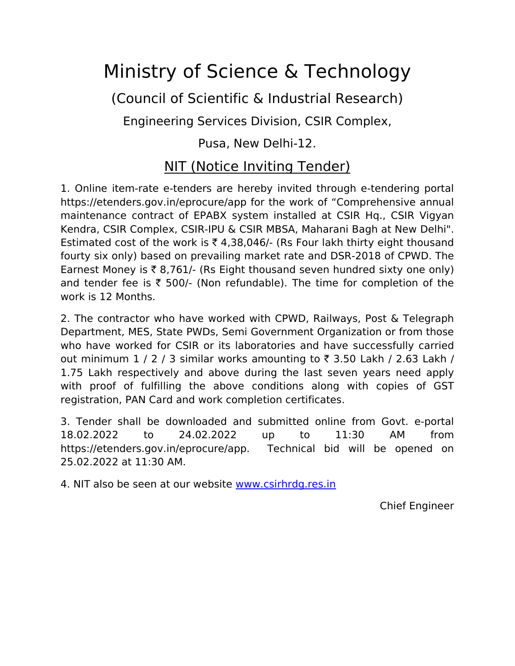## Ministry of Science & Technology

(Council of Scientific & Industrial Research)

Engineering Services Division, CSIR Complex,

## Pusa, New Delhi-12.

## NIT (Notice Inviting Tender)

1. Online item-rate e-tenders are hereby invited through e-tendering portal https://etenders.gov.in/eprocure/app for the work of "Comprehensive annual maintenance contract of EPABX system installed at CSIR Hq., CSIR Vigyan Kendra, CSIR Complex, CSIR-IPU & CSIR MBSA, Maharani Bagh at New Delhi". Estimated cost of the work is  $\bar{\tau}$  4,38,046/- (Rs Four lakh thirty eight thousand fourty six only) based on prevailing market rate and DSR-2018 of CPWD. The Earnest Money is  $\bar{\tau}$  8,761/- (Rs Eight thousand seven hundred sixty one only) and tender fee is  $\bar{\tau}$  500/- (Non refundable). The time for completion of the work is 12 Months.

2. The contractor who have worked with CPWD, Railways, Post & Telegraph Department, MES, State PWDs, Semi Government Organization or from those who have worked for CSIR or its laboratories and have successfully carried out minimum  $1 / 2 / 3$  similar works amounting to  $\overline{\tau}$  3.50 Lakh / 2.63 Lakh / 1.75 Lakh respectively and above during the last seven years need apply with proof of fulfilling the above conditions along with copies of GST registration, PAN Card and work completion certificates.

3. Tender shall be downloaded and submitted online from Govt. e-portal 18.02.2022 to 24.02.2022 up to 11:30 AM from https://etenders.gov.in/eprocure/app. Technical bid will be opened on 25.02.2022 at 11:30 AM.

4. NIT also be seen at our website [www.csirhrdg.res.in](http://www.csirhrdg.res.in/)

Chief Engineer